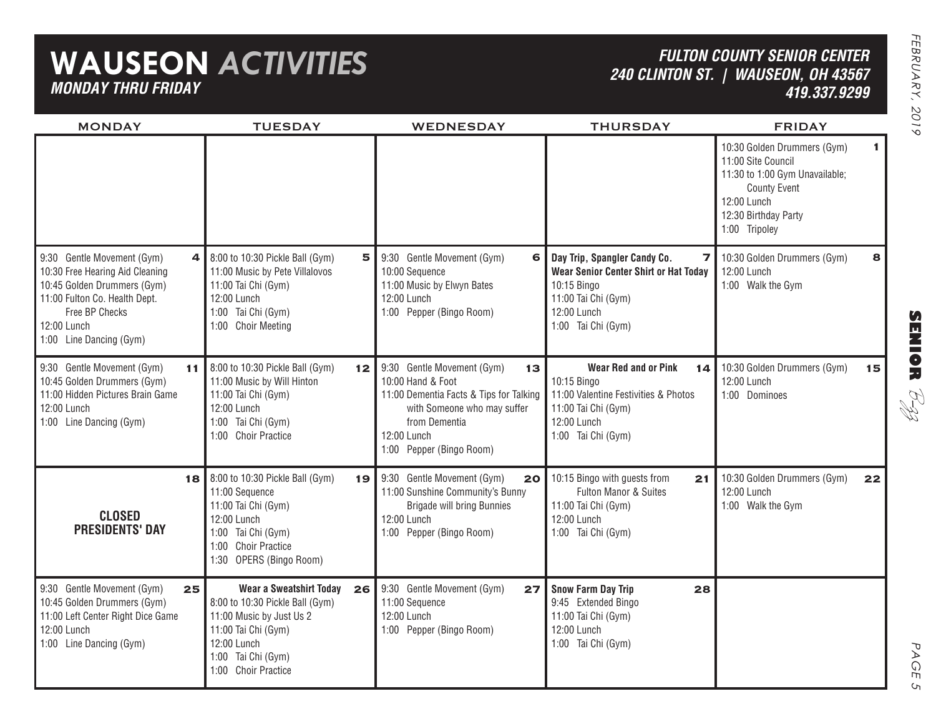## **WAUSEON** *ACTIVITIES MONDAY THRU FRIDAY*

### *FULTON COUNTY SENIOR CENTER240 CLINTON ST. | WAUSEON, OH 43567 419.337.9299*

| <b>MONDAY</b>                                                                                                                                                                                  | <b>TUESDAY</b>                                                                                                                                                                  | WEDNESDAY                                                                                                                                                                                   | <b>THURSDAY</b>                                                                                                                                                    | <b>FRIDAY</b>                                                                                                                                                           |
|------------------------------------------------------------------------------------------------------------------------------------------------------------------------------------------------|---------------------------------------------------------------------------------------------------------------------------------------------------------------------------------|---------------------------------------------------------------------------------------------------------------------------------------------------------------------------------------------|--------------------------------------------------------------------------------------------------------------------------------------------------------------------|-------------------------------------------------------------------------------------------------------------------------------------------------------------------------|
|                                                                                                                                                                                                |                                                                                                                                                                                 |                                                                                                                                                                                             |                                                                                                                                                                    | 10:30 Golden Drummers (Gym)<br>1<br>11:00 Site Council<br>11:30 to 1:00 Gym Unavailable;<br><b>County Event</b><br>12:00 Lunch<br>12:30 Birthday Party<br>1:00 Tripoley |
| 9:30 Gentle Movement (Gym)<br>4<br>10:30 Free Hearing Aid Cleaning<br>10:45 Golden Drummers (Gym)<br>11:00 Fulton Co. Health Dept.<br>Free BP Checks<br>12:00 Lunch<br>1:00 Line Dancing (Gym) | 8:00 to 10:30 Pickle Ball (Gym)<br>5<br>11:00 Music by Pete Villalovos<br>11:00 Tai Chi (Gym)<br>12:00 Lunch<br>1:00 Tai Chi (Gym)<br>1:00 Choir Meeting                        | 9:30 Gentle Movement (Gym)<br>6<br>10:00 Sequence<br>11:00 Music by Elwyn Bates<br>12:00 Lunch<br>1:00 Pepper (Bingo Room)                                                                  | Day Trip, Spangler Candy Co.<br>$\overline{ }$<br>Wear Senior Center Shirt or Hat Today<br>10:15 Bingo<br>11:00 Tai Chi (Gym)<br>12:00 Lunch<br>1:00 Tai Chi (Gym) | 10:30 Golden Drummers (Gym)<br>8<br>12:00 Lunch<br>1:00 Walk the Gym                                                                                                    |
| 9:30 Gentle Movement (Gym)<br>11 I<br>10:45 Golden Drummers (Gym)<br>11:00 Hidden Pictures Brain Game<br>12:00 Lunch<br>1:00 Line Dancing (Gym)                                                | 8:00 to 10:30 Pickle Ball (Gym)<br>12 <br>11:00 Music by Will Hinton<br>11:00 Tai Chi (Gym)<br>12:00 Lunch<br>1:00 Tai Chi (Gym)<br>1:00 Choir Practice                         | 9:30 Gentle Movement (Gym)<br>13<br>10:00 Hand & Foot<br>11:00 Dementia Facts & Tips for Talking<br>with Someone who may suffer<br>from Dementia<br>12:00 Lunch<br>1:00 Pepper (Bingo Room) | <b>Wear Red and or Pink</b><br>14 <sup>1</sup><br>10:15 Bingo<br>11:00 Valentine Festivities & Photos<br>11:00 Tai Chi (Gym)<br>12:00 Lunch<br>1:00 Tai Chi (Gym)  | 10:30 Golden Drummers (Gym)<br>15<br>12:00 Lunch<br>1:00 Dominoes                                                                                                       |
| 18<br><b>CLOSED</b><br><b>PRESIDENTS' DAY</b>                                                                                                                                                  | 8:00 to 10:30 Pickle Ball (Gym)<br>19<br>11:00 Sequence<br>11:00 Tai Chi (Gym)<br>12:00 Lunch<br>1:00 Tai Chi (Gym)<br>1:00 Choir Practice<br>1:30 OPERS (Bingo Room)           | 9:30 Gentle Movement (Gym)<br>20 <br>11:00 Sunshine Community's Bunny<br><b>Brigade will bring Bunnies</b><br>12:00 Lunch<br>1:00 Pepper (Bingo Room)                                       | 10:15 Bingo with guests from<br>21<br>Fulton Manor & Suites<br>11:00 Tai Chi (Gym)<br>12:00 Lunch<br>1:00 Tai Chi (Gym)                                            | 10:30 Golden Drummers (Gym)<br>22<br>12:00 Lunch<br>1:00 Walk the Gym                                                                                                   |
| 9:30 Gentle Movement (Gym)<br>25<br>10:45 Golden Drummers (Gym)<br>11:00 Left Center Right Dice Game<br>12:00 Lunch<br>1:00 Line Dancing (Gym)                                                 | Wear a Sweatshirt Today<br>26<br>8:00 to 10:30 Pickle Ball (Gym)<br>11:00 Music by Just Us 2<br>11:00 Tai Chi (Gym)<br>12:00 Lunch<br>1:00 Tai Chi (Gym)<br>1:00 Choir Practice | 9:30 Gentle Movement (Gym)<br>27<br>11:00 Sequence<br>12:00 Lunch<br>1:00 Pepper (Bingo Room)                                                                                               | <b>Snow Farm Day Trip</b><br>28<br>9:45 Extended Bingo<br>11:00 Tai Chi (Gym)<br>12:00 Lunch<br>1:00 Tai Chi (Gym)                                                 |                                                                                                                                                                         |

**SENIOR** B-zz

> PAGE PAGE 5  $\mathsf{C}_{\mathsf{L}}$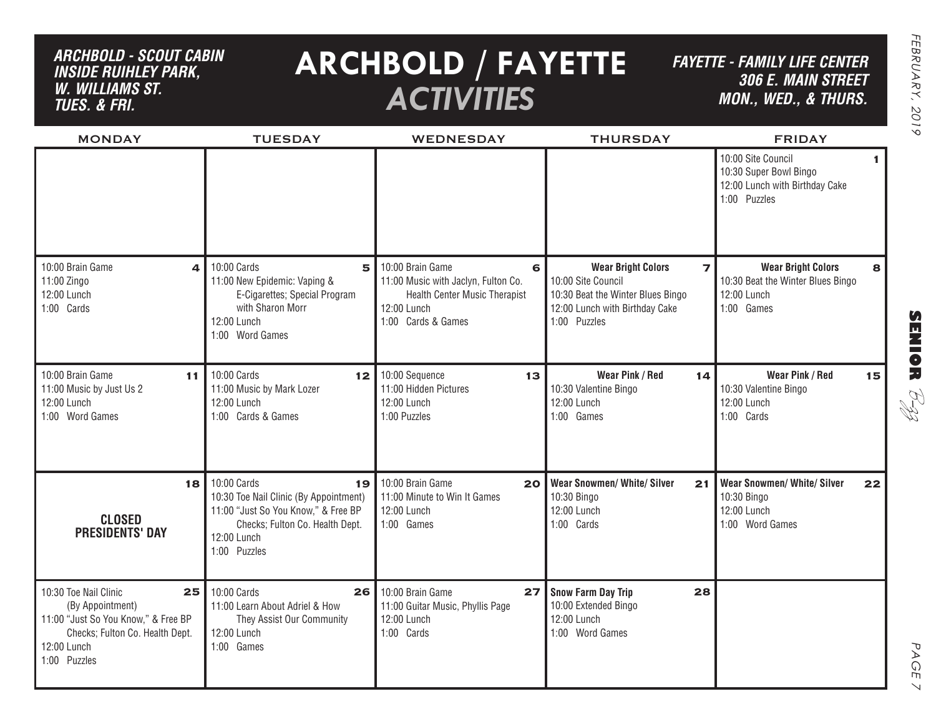## *ARCHBOLD - SCOUT CABIN inside ruihley park, w. williams st. tues. & FRI.*

# **ARCHBOLD / FAYETTE** *ACTIVITIES*

*FAYETTE - FAMILY LIFE CENTER306 E. Main Street MON., Wed., & THURS.*

| <b>MONDAY</b>                                                                                                                                            | <b>TUESDAY</b>                                                                                                                                                       | <b>WEDNESDAY</b>                                                                                                                          | <b>THURSDAY</b>                                                                                                                                          | <b>FRIDAY</b>                                                                                                  |
|----------------------------------------------------------------------------------------------------------------------------------------------------------|----------------------------------------------------------------------------------------------------------------------------------------------------------------------|-------------------------------------------------------------------------------------------------------------------------------------------|----------------------------------------------------------------------------------------------------------------------------------------------------------|----------------------------------------------------------------------------------------------------------------|
|                                                                                                                                                          |                                                                                                                                                                      |                                                                                                                                           |                                                                                                                                                          | 10:00 Site Council<br>$\mathbf{1}$<br>10:30 Super Bowl Bingo<br>12:00 Lunch with Birthday Cake<br>1:00 Puzzles |
| 10:00 Brain Game<br>4<br>11:00 Zingo<br>12:00 Lunch<br>1:00 Cards                                                                                        | 10:00 Cards<br>5<br>11:00 New Epidemic: Vaping &<br>E-Cigarettes; Special Program<br>with Sharon Morr<br>12:00 Lunch<br>1:00 Word Games                              | 10:00 Brain Game<br>6<br>11:00 Music with Jaclyn, Fulton Co.<br><b>Health Center Music Therapist</b><br>12:00 Lunch<br>1:00 Cards & Games | <b>Wear Bright Colors</b><br>$\overline{ }$<br>10:00 Site Council<br>10:30 Beat the Winter Blues Bingo<br>12:00 Lunch with Birthday Cake<br>1:00 Puzzles | <b>Wear Bright Colors</b><br>8<br>10:30 Beat the Winter Blues Bingo<br>12:00 Lunch<br>1:00 Games               |
| 10:00 Brain Game<br>11<br>11:00 Music by Just Us 2<br>12:00 Lunch<br>1:00 Word Games                                                                     | 10:00 Cards<br>12 <sub>1</sub><br>11:00 Music by Mark Lozer<br>12:00 Lunch<br>1:00 Cards & Games                                                                     | 10:00 Sequence<br>13 <sub>1</sub><br>11:00 Hidden Pictures<br>12:00 Lunch<br>1:00 Puzzles                                                 | Wear Pink / Red<br>14<br>10:30 Valentine Bingo<br>12:00 Lunch<br>1:00 Games                                                                              | Wear Pink / Red<br>15<br>10:30 Valentine Bingo<br>12:00 Lunch<br>1:00 Cards                                    |
| 18<br><b>CLOSED</b><br><b>PRESIDENTS' DAY</b>                                                                                                            | 10:00 Cards<br>19<br>10:30 Toe Nail Clinic (By Appointment)<br>11:00 "Just So You Know," & Free BP<br>Checks; Fulton Co. Health Dept.<br>12:00 Lunch<br>1:00 Puzzles | 10:00 Brain Game<br>20 <sub>l</sub><br>11:00 Minute to Win It Games<br>12:00 Lunch<br>1:00 Games                                          | <b>Wear Snowmen/ White/ Silver</b><br>21<br>10:30 Bingo<br>12:00 Lunch<br>1:00 Cards                                                                     | <b>Wear Snowmen/ White/ Silver</b><br>22<br>10:30 Bingo<br>12:00 Lunch<br>1:00 Word Games                      |
| 10:30 Toe Nail Clinic<br>25<br>(By Appointment)<br>11:00 "Just So You Know," & Free BP<br>Checks; Fulton Co. Health Dept.<br>12:00 Lunch<br>1:00 Puzzles | 10:00 Cards<br>26<br>11:00 Learn About Adriel & How<br>They Assist Our Community<br>12:00 Lunch<br>1:00 Games                                                        | 10:00 Brain Game<br>27<br>11:00 Guitar Music, Phyllis Page<br>12:00 Lunch<br>1:00 Cards                                                   | 28<br><b>Snow Farm Day Trip</b><br>10:00 Extended Bingo<br>12:00 Lunch<br>1:00 Word Games                                                                |                                                                                                                |

PAGE PAGE 7  $\vee$